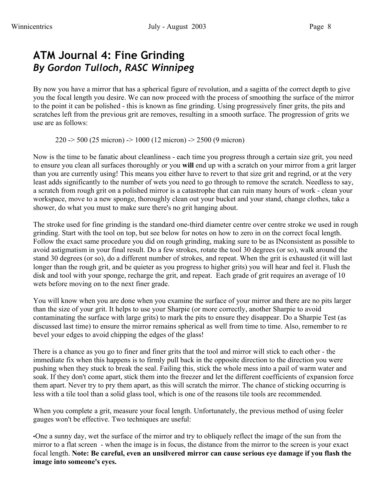## **ATM Journal 4: Fine Grinding** *By Gordon Tulloch, RASC Winnipeg*

By now you have a mirror that has a spherical figure of revolution, and a sagitta of the correct depth to give you the focal length you desire. We can now proceed with the process of smoothing the surface of the mirror to the point it can be polished - this is known as fine grinding. Using progressively finer grits, the pits and scratches left from the previous grit are removes, resulting in a smooth surface. The progression of grits we use are as follows:

220 -> 500 (25 micron) -> 1000 (12 micron) -> 2500 (9 micron)

Now is the time to be fanatic about cleanliness - each time you progress through a certain size grit, you need to ensure you clean all surfaces thoroughly or you **will** end up with a scratch on your mirror from a grit larger than you are currently using! This means you either have to revert to that size grit and regrind, or at the very least adds significantly to the number of wets you need to go through to remove the scratch. Needless to say, a scratch from rough grit on a polished mirror is a catastrophe that can ruin many hours of work - clean your workspace, move to a new sponge, thoroughly clean out your bucket and your stand, change clothes, take a shower, do what you must to make sure there's no grit hanging about.

The stroke used for fine grinding is the standard one-third diameter centre over centre stroke we used in rough grinding. Start with the tool on top, but see below for notes on how to zero in on the correct focal length. Follow the exact same procedure you did on rough grinding, making sure to be as INconsistent as possible to avoid astigmatism in your final result. Do a few strokes, rotate the tool 30 degrees (or so), walk around the stand 30 degrees (or so), do a different number of strokes, and repeat. When the grit is exhausted (it will last longer than the rough grit, and be quieter as you progress to higher grits) you will hear and feel it. Flush the disk and tool with your sponge, recharge the grit, and repeat. Each grade of grit requires an average of 10 wets before moving on to the next finer grade.

You will know when you are done when you examine the surface of your mirror and there are no pits larger than the size of your grit. It helps to use your Sharpie (or more correctly, another Sharpie to avoid contaminating the surface with large grits) to mark the pits to ensure they disappear. Do a Sharpie Test (as discussed last time) to ensure the mirror remains spherical as well from time to time. Also, remember to re bevel your edges to avoid chipping the edges of the glass!

There is a chance as you go to finer and finer grits that the tool and mirror will stick to each other - the immediate fix when this happens is to firmly pull back in the opposite direction to the direction you were pushing when they stuck to break the seal. Failing this, stick the whole mess into a pail of warm water and soak. If they don't come apart, stick them into the freezer and let the different coefficients of expansion force them apart. Never try to pry them apart, as this will scratch the mirror. The chance of sticking occurring is less with a tile tool than a solid glass tool, which is one of the reasons tile tools are recommended.

When you complete a grit, measure your focal length. Unfortunately, the previous method of using feeler gauges won't be effective. Two techniques are useful:

•One a sunny day, wet the surface of the mirror and try to obliquely reflect the image of the sun from the mirror to a flat screen - when the image is in focus, the distance from the mirror to the screen is your exact focal length. **Note: Be careful, even an unsilvered mirror can cause serious eye damage if you flash the image into someone's eyes.**